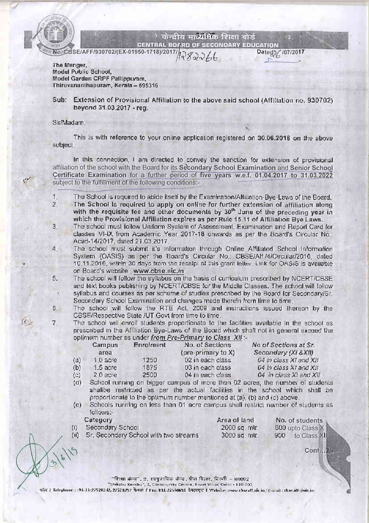

 $\mathcal{U}$ 

 $7<sub>1</sub>$ 

केन्द्रीय मार्च्यमिक शिक्षा वोर्ड

**CENTRAL BOARD OF SECONDARY EDUCATION** No. CBSE/AFF/930702/(EX-01950-1718)/2017/

Dateg>/ /07/2017

The Manger, Model Public School, Model Garden CRPF Pallippuram. Thiruvananthapuram, Kerala - 695316

Sub: Extension of Provisional Affiliation to the above said school (Affiliation no, 930702) beyond 31.03.2017 - reg.

### Sir/Madam,

This is with reference to your online application registered on 30.06.2016 on the above subject.

In this connection, I am directed to convey the sanction for extension of provisional affiliation of the school with the Board for its Secondary School Examination and Senior School Certificate Examination for a further period of five years w.e.f. 01.04.2017 to 31.03.2022 subject to the fulfillment of the following conditions:-

- The School is required to abide itself by the Examination/Affiliation-Bye-Laws of the Board.  $1 2.$
- The School is required to apply on online for further extension of affiliation along with the requisite fee and other documents by 30<sup>th</sup> June of the preceding year in which the Provisional Affiliation expires as per Rule 15.11 of Affiliation Bye Laws.
- $3.$ The school must follow Uniform System of Assessment, Examination and Report Card for classes VI-IX from Academic Year 2017-18 onwards as per the Board's Circular No.: Acad-14/2017, dated 21.03.2017.
- The school must submit it's information through Online Affiliated School Information  $4_{-}$ System (OASIS) as per the Board's Circular No.: CBSE/Aff./4/Circular/2016, dated 10.11.2016, within 30 days from the receipt of this grant letter. Link for OASiS is available on Board's website : www.cbse.nic.in
- The school will follow the syllabus on the basis of curriculum prescribed by NCERT/CBSE 5. and lext books publishing by NCERT/CBSE for the Middle Classes. The school will follow syllabus and courses as per scheme of studies prescribed by the Board for Secondary/Sr. Secondary School Examination and changes made therein from lime to time.
- $6.$ The school will follow the RTE Act, 2009 and instructions issued thereon by the CBSE/Respective State /UT Govt from time to time.

The school will enroll students proportionate to the facilities available in the school as prescribed in the Affiliation Bye-Laws of the Board which shall not in general exceed the

|     | Campus<br>area | Enrolment | optimum number as under trom <i>Fre-Finnary</i> to Class Anti-<br>No. of Sections<br>(pre-primary to X) | No of Sections at Sr.<br>Secondary (XI & XII) |
|-----|----------------|-----------|---------------------------------------------------------------------------------------------------------|-----------------------------------------------|
| (a) | 1.0 acre       | 1250      | 02 in each class                                                                                        | 04 in class XI and XII                        |
| (b) | $1.5$ acre     | 1875      | 03 in each class                                                                                        | 04 in class XI and XII                        |
| (c) | 2.0 acre       | 2500      | 04 in each class                                                                                        | 04 in class XI and XII                        |
|     |                |           |                                                                                                         |                                               |

- School running on bigger campus of more than 02 acres, the number of students  $(d)$ shallbe restricted as per the actual facilities in the school which shall be proportionate to the optimum number mentioned at (a), (b) and (c) above.
- (e) Schools running on less than 01 acre campus shall restrict number of students as follows:-

Category

Secondary School 2000 sq. mtr.  $(i)$ Sr. Secondary School with two streams 3000 sq. mtr.  $\overline{}}$ 

Area of land

No. of students 600 upto Class X 900 to Class XII

Cont...24

"शिक्षा केन्द्र", 2, सामुदायिक केन्द्र, प्रीत विहार, दिल्ली – ॥००९२ "Shikshu Kendra", 2, Community Centre, Preet Vihar, Oelhi - 110 092 कील / Telephone : -91-11-225202-12, 21528257 फैक्स / Fisc 011-22530635 वेबसाइट 1 Website: www.absesft.nir.in/fi-mult: chee.adf @mic.in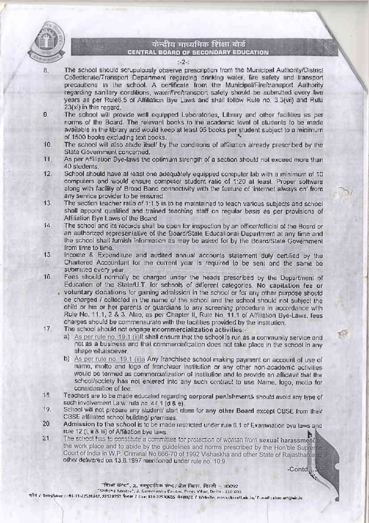

8.

## केन्द्रीय माध्यमिक शिक्षा बोर्ड CENTRAL BOARD OF SECONDARY EDUCATION

#### $-2 -$

- The school should scrupulously observe prescription from the Municipal Authority/District Collectorate/Transport Department regarding drinking water, fire safety and transport precautions in the school. A certificate from the Municipal/Fire/transport Authority regarding sanilary conditions, water/fire/transport safety should be submitted every live years as per Rule8.5 of Affiliation Bye Laws and shall follow Rule no. 3.3(vii) and Rule 23(xi) in this regard.
- $9.$ The school will provide well equipped Laboratories, Library and other facilities as per norms of the Board. The relevant books to the academic level of students to be made available in the library and would keep at least 05 books per student subject to a minimum of 1500 books excluding text books.
- The school will also abide itself by the conditions of affiliation already prescribed by the  $10.$ State Government concerned.
- 11. As per Affiliation Bye-laws the optimum strength of a section should not exceed more than 40 students.
- $12.$ School should have allieast one adequately equipped computer lab with a minimum of 10 computers and would ensure computer student ratio of 1:20 at least. Proper software along with facility of Broad Band connectivity with the feature of 'internet always on' from any service provider to be ensured.
- $13.$ The section teacher ratio of 1:1.5 is to be maintained to teach various subjects and school shall appoint qualified and trained teaching staff on regular basis as per provisions of Affiliation Bye Laws of the Board.
- $14.$ The school and its records shall be open for inspection by an officer/official of the Board or an authorized representative of the Board/State Educational Department at any time and the school shall furnish information as may be asked for by the Board/State Government from time to time.
- 15. Income & Expenditure and audited annual accounts statement duly certified by the Chartered Accountant for the current year is required to be sent and the same be submitted every year.
- $16.$ Fees should normally be charged under the heads prescribed by the Department of Education of the State/U.T. for schools of different categories. No capitation fee or voluntary donations for gaining admission in the school or for any other purpose should be charged / collected in the name of the school and the school should not subject the child or his or her parents or guardians to any screening procedure in accordance with
	- Rule No. 11.1, 2 & 3. Also, as per Chapter II, Rule No. 11.1 of Affiliation Bye-Laws, fees charges should be commensurate with the facilities provided by the institution.
- The school should not engage incommercialization activities:- $17.$ 
	- a) As per rule no. 19.1 (ii)It shall ensure that the school is run as a community service and not as a business and that commercialization does not take place in the school in any shape whalsoever.
	- b) As per rule no. 19.1 (ii)a Any franchisee school making payment on account of use of name, motto and logo of franchiser institution or any other non-academic activities would be termed as commercialization of institution and to provide an affidavit that the school/society has not entered into any such contract to use Name, logo, motto for consideration of fee.
- Teachers are to be made educated regarding corporal punishment& should avoid any type of 18. such involvement i.a.w. rule no. 44.1 (d & e).
- 19. School will not prepare any student/ start class for any other Board except CBSE from their CBSE affiliated school building/ premises.
- 20. Admission to the school is to be made restricted under rule 6.1 of Examination bye laws and rule 12 (i, ii & iii) of Affiliation bye laws.
- $21.$ The school has to constitute a committee for protection of woman from sexual harassment at the work place and to abide by the guidelines and norms prescribed by the Hon'ble Supreme Court of India in W.P. Criminal No.666-70 of 1992 Vishaskha and other State of Rajasthan and other delivered on 13.8.1997 mentioned under rule no. 10.9.

 $-$ Contd...3 فسيجل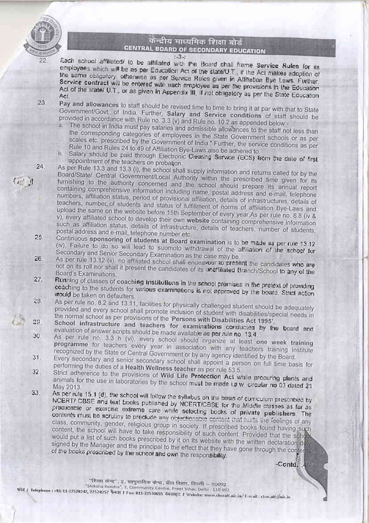

23.

# केन्द्रीय माध्यमिक शिक्षा बोर्ड CENTRAL BOARD OF SECONDARY EDUCATION

 $-3 -$ 

Each school affiliated/ to be affiliated with the Board shall frame Service Rules for its employees which will be as per Education Act of the state/U.T., if the Act makes adoption of the same obligatory, otherwise as per Service Rules given in Affiliation Bye Laws. Further, Service contract will be entered with each employee as per the provisions in the Education Act of the state/ U.T., or as given in Appendix III, if not obligatory as per the State Education

- Pay and allowances to staff should be revised time to time to bring it at par with that to State Government/Govt of India. Further, Salary and Service conditions of staff should be provided in accordance with Rule no. 3.3 (v) and Rule no. 10.2 as appended below.
	- a. The school in India must pay salaries and admissible allowances to the staff not less than the corresponding categories of employees in the State Government schools or as per scales etc. prescribed by the Government of India." Further, the service conditions as per Rule 10 and Rules 24 to 49 of Affiliation Bye-Laws also be adhered to.
	- b. Salary should be paid through Electronic Clearing Service (ECS) from the date of first appointment of the teachers on probation.
- As per Rule 13.3 and 13.3 (i), the school shall supply information and returns called for by the Board/State/ Central Government/Local Authority within the prescribed time given for its furnishing to the authority concerned and the school should prepare its annual report containing comprehensive information including name, postal address and e-mail, telephone numbers, affiliation status, period of provisional affiliation, details of infrastructures, details of teachers, number of students and status of fulfillment of norms of affiliation Bye-Laws and upload the same on the website before 15th September of every year.As per rule no. 8.8 (iv & v), every affiliated school to develop their own website containing comprehensive information such as affiliation status, details of infrastructure, details of teachers, number of students, postal address and e-mail, telephone number etc. 25.
- Continuous sponsoring of students at Board examination is to be made as per rule 13.12 (iv). Failure to do so will lead to suomoto withdrawal of the affiliation of the school for Secondary and Senior Secondary Examination as the case may be. 26.
- As per rule 13.12 (ii), no affiliated school shall endeavour to present the candidates who are not on its roll nor shall it present the candidates of its unaffiliated Branch/School to any of the Board's Examinations. 27.
- Running of classes of coaching institutions in the school premises in the pretext of providing coaching to the students for various examinations is not approved by the board. Strict action would be taken on defaulters. 28.
- As per rule no. 8.2 and 13.11, facilities for physically challenged student should be adequately provided and every school shall promote inclusion of student with disabilities/special needs in the normal school as per provisions of the 'Persons with Disabilities Act 1995' 29.
- School infrastructure and teachers for examinations conducted by the board and evaluation of answer scripts should be made available as per rule no. 13.4. 30.
- As per rule no. 3.3 h (vi), every school should organize at least one week training programme for teachers every year in association with any teachers training institute recognized by the State or Central Government or by any agency identified by the Board.  $31.$
- Every secondary and senior secondary school shall appoint a person on full time basis for performing the duties of a Health Wellness teacher as per rule 53.5.  $32<sub>1</sub>$
- Strict adherence to the provisions of Wild Life Protection Act while procuring plants and animals for the use in laboratories by the school must be made i.a.w. circular no 03 dated 21 33.
- As per rule 15.1 (d), the school will follow the syllabus on the basis of curriculum prescribed by NCERT/ CBSE and text books published by NCERT/CBSE for the Middle classes as far as practicable or exercise extreme care while selecting books of private publishers. The contents must be scrutiny to preclude any objectionable content that hurts the feelings of any class, community, gender, religious group in society. If prescribed books found having such content, the school will have to take responsibility of such content. Provided that the school would put a list of such books prescribed by it on its website with the written declaration duly signed by the Manager and the principal to the effect that they have gone through the contents of the books prescribed by the school and own the responsibility.

-Contd...4

"शिक्षा केन्द्र", 2, सागुदायिक केन्द्र, प्रीत विहार, विल्ली - 110092 "Shiksha Kendra", 2, Community Centre, Preet Vihar, Delhi - 110 092

what / Telephune : +93-11-22520242, 22528257 GetH / Fax: 011-22540655 GetHFC / Website: www.chseaff.nic.in/E-mail: chse.aff.pnic.in

24.